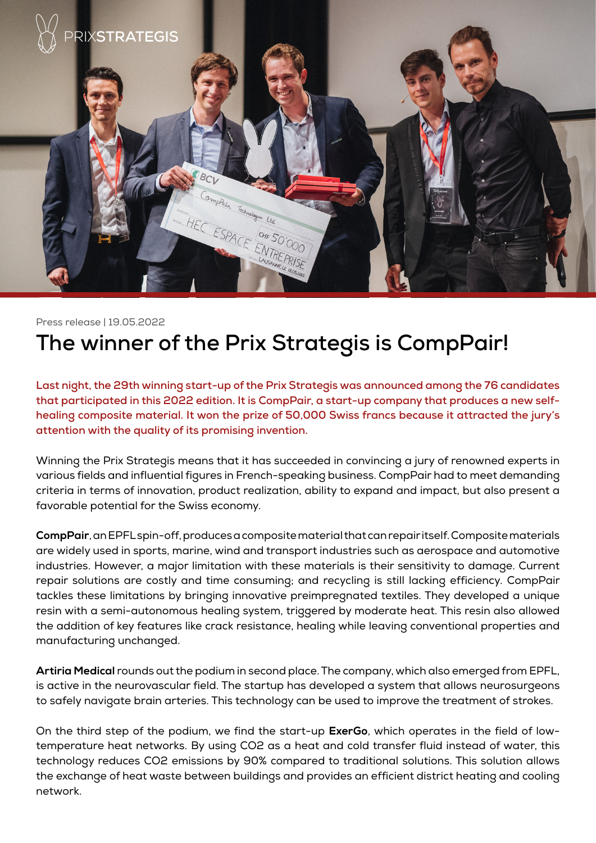

Press release | 19.05.2022

## **The winner of the Prix Strategis is CompPair!**

**Last night, the 29th winning start-up of the Prix Strategis was announced among the 76 candidates that participated in this 2022 edition. It is CompPair, a start-up company that produces a new selfhealing composite material. It won the prize of 50,000 Swiss francs because it attracted the jury's attention with the quality of its promising invention.**

Winning the Prix Strategis means that it has succeeded in convincing a jury of renowned experts in various fields and influential figures in French-speaking business. CompPair had to meet demanding criteria in terms of innovation, product realization, ability to expand and impact, but also present a favorable potential for the Swiss economy.

**CompPair**, an EPFL spin-off, produces a composite material that can repair itself. Composite materials are widely used in sports, marine, wind and transport industries such as aerospace and automotive industries. However, a major limitation with these materials is their sensitivity to damage. Current repair solutions are costly and time consuming; and recycling is still lacking efficiency. CompPair tackles these limitations by bringing innovative preimpregnated textiles. They developed a unique resin with a semi-autonomous healing system, triggered by moderate heat. This resin also allowed the addition of key features like crack resistance, healing while leaving conventional properties and manufacturing unchanged.

**Artiria Medical** rounds out the podium in second place. The company, which also emerged from EPFL, is active in the neurovascular field. The startup has developed a system that allows neurosurgeons to safely navigate brain arteries. This technology can be used to improve the treatment of strokes.

On the third step of the podium, we find the start-up **ExerGo**, which operates in the field of lowtemperature heat networks. By using CO2 as a heat and cold transfer fluid instead of water, this technology reduces CO2 emissions by 90% compared to traditional solutions. This solution allows the exchange of heat waste between buildings and provides an efficient district heating and cooling network.